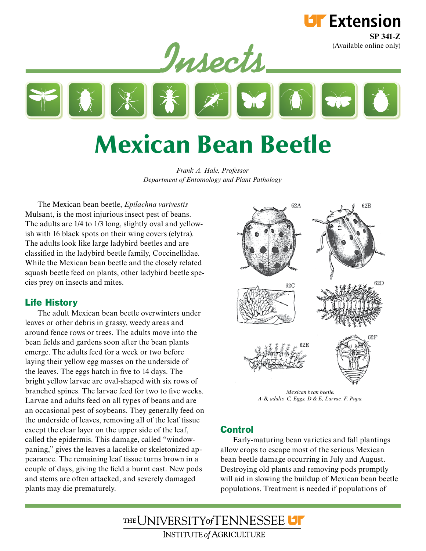

**LIF** Extension **SP 341-Z**

# Mexican Bean Beetle

*Frank A. Hale, Professor Department of Entomology and Plant Pathology*

The Mexican bean beetle, *Epilachna varivestis* Mulsant, is the most injurious insect pest of beans. The adults are 1/4 to 1/3 long, slightly oval and yellowish with 16 black spots on their wing covers (elytra). The adults look like large ladybird beetles and are classified in the ladybird beetle family, Coccinellidae. While the Mexican bean beetle and the closely related squash beetle feed on plants, other ladybird beetle species prey on insects and mites.

## Life History

The adult Mexican bean beetle overwinters under leaves or other debris in grassy, weedy areas and around fence rows or trees. The adults move into the bean fields and gardens soon after the bean plants emerge. The adults feed for a week or two before laying their yellow egg masses on the underside of the leaves. The eggs hatch in five to 14 days. The bright yellow larvae are oval-shaped with six rows of branched spines. The larvae feed for two to five weeks. Larvae and adults feed on all types of beans and are an occasional pest of soybeans. They generally feed on the underside of leaves, removing all of the leaf tissue except the clear layer on the upper side of the leaf, called the epidermis. This damage, called "windowpaning," gives the leaves a lacelike or skeletonized appearance. The remaining leaf tissue turns brown in a couple of days, giving the field a burnt cast. New pods and stems are often attacked, and severely damaged plants may die prematurely.



*Mexican bean beetle. A-B, adults. C, Eggs. D & E, Larvae. F, Pupa.*

## **Control**

Early-maturing bean varieties and fall plantings allow crops to escape most of the serious Mexican bean beetle damage occurring in July and August. Destroying old plants and removing pods promptly will aid in slowing the buildup of Mexican bean beetle populations. Treatment is needed if populations of

THE UNIVERSITY of TENNESSEE **INSTITUTE of AGRICULTURE**